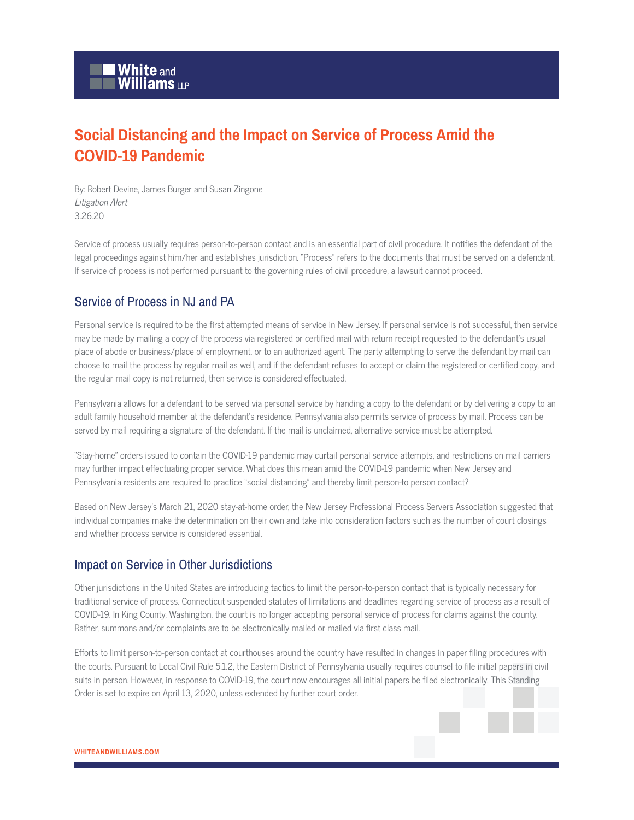## **Social Distancing and the Impact on Service of Process Amid the COVID-19 Pandemic**

By: Robert Devine, James Burger and Susan Zingone Litigation Alert 3.26.20

Service of process usually requires person-to-person contact and is an essential part of civil procedure. It notifies the defendant of the legal proceedings against him/her and establishes jurisdiction. "Process" refers to the documents that must be served on a defendant. If service of process is not performed pursuant to the governing rules of civil procedure, a lawsuit cannot proceed.

## Service of Process in NJ and PA

Personal service is required to be the first attempted means of service in New Jersey. If personal service is not successful, then service may be made by mailing a copy of the process via registered or certified mail with return receipt requested to the defendant's usual place of abode or business/place of employment, or to an authorized agent. The party attempting to serve the defendant by mail can choose to mail the process by regular mail as well, and if the defendant refuses to accept or claim the registered or certified copy, and the regular mail copy is not returned, then service is considered effectuated.

Pennsylvania allows for a defendant to be served via personal service by handing a copy to the defendant or by delivering a copy to an adult family household member at the defendant's residence. Pennsylvania also permits service of process by mail. Process can be served by mail requiring a signature of the defendant. If the mail is unclaimed, alternative service must be attempted.

"Stay-home" orders issued to contain the COVID-19 pandemic may curtail personal service attempts, and restrictions on mail carriers may further impact effectuating proper service. What does this mean amid the COVID-19 pandemic when New Jersey and Pennsylvania residents are required to practice "social distancing" and thereby limit person-to person contact?

Based on New Jersey's March 21, 2020 stay-at-home order, the New Jersey Professional Process Servers Association suggested that individual companies make the determination on their own and take into consideration factors such as the number of court closings and whether process service is considered essential.

## Impact on Service in Other Jurisdictions

Other jurisdictions in the United States are introducing tactics to limit the person-to-person contact that is typically necessary for traditional service of process. Connecticut suspended statutes of limitations and deadlines regarding service of process as a result of COVID-19. In King County, Washington, the court is no longer accepting personal service of process for claims against the county. Rather, summons and/or complaints are to be electronically mailed or mailed via first class mail.

Efforts to limit person-to-person contact at courthouses around the country have resulted in changes in paper filing procedures with the courts. Pursuant to Local Civil Rule 5.1.2, the Eastern District of Pennsylvania usually requires counsel to file initial papers in civil suits in person. However, in response to COVID-19, the court now encourages all initial papers be filed electronically. This Standing Order is set to expire on April 13, 2020, unless extended by further court order.